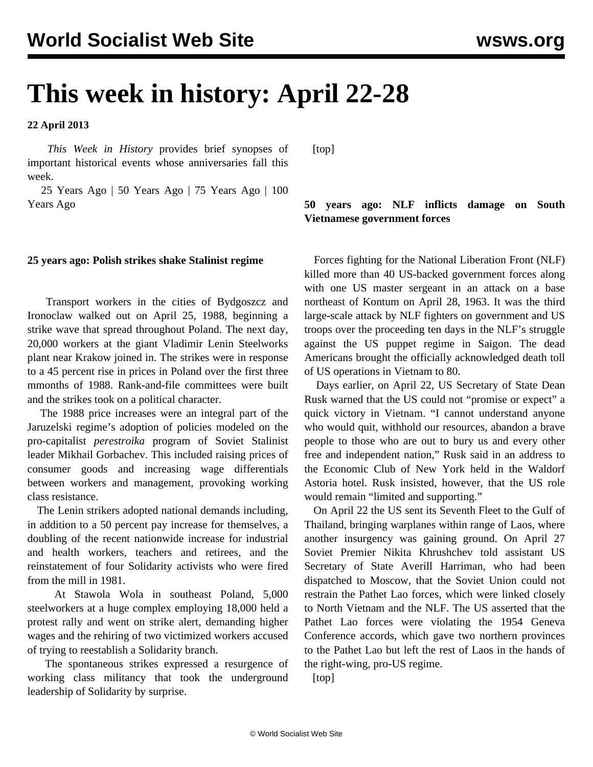# **This week in history: April 22-28**

**22 April 2013**

 *This Week in History* provides brief synopses of important historical events whose anniversaries fall this week.

 25 Years Ago | 50 Years Ago | 75 Years Ago | 100 Years Ago

#### **25 years ago: Polish strikes shake Stalinist regime**

 Transport workers in the cities of Bydgoszcz and Ironoclaw walked out on April 25, 1988, beginning a strike wave that spread throughout Poland. The next day, 20,000 workers at the giant Vladimir Lenin Steelworks plant near Krakow joined in. The strikes were in response to a 45 percent rise in prices in Poland over the first three mmonths of 1988. Rank-and-file committees were built and the strikes took on a political character.

 The 1988 price increases were an integral part of the Jaruzelski regime's adoption of policies modeled on the pro-capitalist *perestroika* program of Soviet Stalinist leader Mikhail Gorbachev. This included raising prices of consumer goods and increasing wage differentials between workers and management, provoking working class resistance.

 The Lenin strikers adopted national demands including, in addition to a 50 percent pay increase for themselves, a doubling of the recent nationwide increase for industrial and health workers, teachers and retirees, and the reinstatement of four Solidarity activists who were fired from the mill in 1981.

 At Stawola Wola in southeast Poland, 5,000 steelworkers at a huge complex employing 18,000 held a protest rally and went on strike alert, demanding higher wages and the rehiring of two victimized workers accused of trying to reestablish a Solidarity branch.

 The spontaneous strikes expressed a resurgence of working class militancy that took the underground leadership of Solidarity by surprise.

[top]

### **50 years ago: NLF inflicts damage on South Vietnamese government forces**

 Forces fighting for the National Liberation Front (NLF) killed more than 40 US-backed government forces along with one US master sergeant in an attack on a base northeast of Kontum on April 28, 1963. It was the third large-scale attack by NLF fighters on government and US troops over the proceeding ten days in the NLF's struggle against the US puppet regime in Saigon. The dead Americans brought the officially acknowledged death toll of US operations in Vietnam to 80.

 Days earlier, on April 22, US Secretary of State Dean Rusk warned that the US could not "promise or expect" a quick victory in Vietnam. "I cannot understand anyone who would quit, withhold our resources, abandon a brave people to those who are out to bury us and every other free and independent nation," Rusk said in an address to the Economic Club of New York held in the Waldorf Astoria hotel. Rusk insisted, however, that the US role would remain "limited and supporting."

 On April 22 the US sent its Seventh Fleet to the Gulf of Thailand, bringing warplanes within range of Laos, where another insurgency was gaining ground. On April 27 Soviet Premier Nikita Khrushchev told assistant US Secretary of State Averill Harriman, who had been dispatched to Moscow, that the Soviet Union could not restrain the Pathet Lao forces, which were linked closely to North Vietnam and the NLF. The US asserted that the Pathet Lao forces were violating the 1954 Geneva Conference accords, which gave two northern provinces to the Pathet Lao but left the rest of Laos in the hands of the right-wing, pro-US regime.

[top]